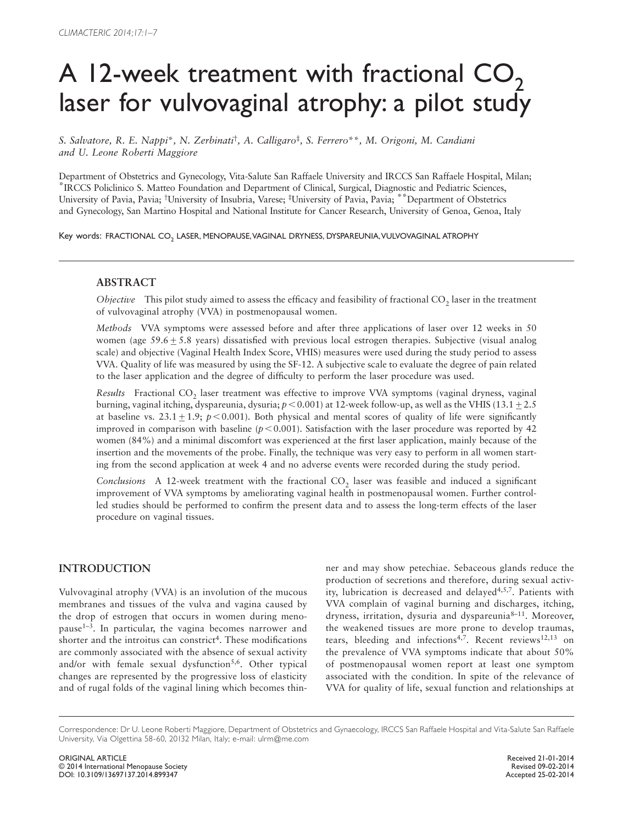# A 12-week treatment with fractional  $CO<sub>2</sub>$ laser for vulvovaginal atrophy: a pilot study

 *S.Salvatore , R. E.Nappi* \**, N.Zerbinati* †*, A.Calligaro* ‡*, S.Ferrero* \*\**, M.Origoni , M.Candiani and U. Leone Roberti Maggiore* 

Department of Obstetrics and Gynecology, Vita-Salute San Raffaele University and IRCCS San Raffaele Hospital, Milan; \*IRCCS Policlinico S. Matteo Foundation and Department of Clinical, Surgical, Diagnostic and Pediatric Sciences, University of Pavia, Pavia; † University of Insubria, Varese; ‡ University of Pavia, Pavia; \*\*Department of Obstetrics and Gynecology, San Martino Hospital and National Institute for Cancer Research, University of Genoa, Genoa, Italy

Key words: FRACTIONAL CO., LASER, MENOPAUSE, VAGINAL DRYNESS, DYSPAREUNIA, VULVOVAGINAL ATROPHY

# **ABSTRACT**

*Objective* This pilot study aimed to assess the efficacy and feasibility of fractional CO<sub>2</sub> laser in the treatment of vulvovaginal atrophy (VVA) in postmenopausal women.

 *Methods* VVA symptoms were assessed before and after three applications of laser over 12 weeks in 50 women (age  $59.6 \pm 5.8$  years) dissatisfied with previous local estrogen therapies. Subjective (visual analog scale) and objective (Vaginal Health Index Score, VHIS) measures were used during the study period to assess VVA. Quality of life was measured by using the SF-12. A subjective scale to evaluate the degree of pain related to the laser application and the degree of difficulty to perform the laser procedure was used.

*Results* Fractional CO<sub>2</sub> laser treatment was effective to improve VVA symptoms (vaginal dryness, vaginal burning, vaginal itching, dyspareunia, dysuria;  $p < 0.001$ ) at 12-week follow-up, as well as the VHIS (13.1  $\pm$  2.5 at baseline vs.  $23.1 \pm 1.9$ ;  $p < 0.001$ ). Both physical and mental scores of quality of life were significantly improved in comparison with baseline  $(p<0.001)$ . Satisfaction with the laser procedure was reported by 42 women (84%) and a minimal discomfort was experienced at the first laser application, mainly because of the insertion and the movements of the probe. Finally, the technique was very easy to perform in all women starting from the second application at week 4 and no adverse events were recorded during the study period.

*Conclusions* A 12-week treatment with the fractional CO<sub>2</sub> laser was feasible and induced a significant improvement of VVA symptoms by ameliorating vaginal health in postmenopausal women. Further controlled studies should be performed to confirm the present data and to assess the long-term effects of the laser procedure on vaginal tissues.

# **INTRODUCTION**

Vulvovaginal atrophy (VVA) is an involution of the mucous membranes and tissues of the vulva and vagina caused by the drop of estrogen that occurs in women during menopause<sup>1-3</sup>. In particular, the vagina becomes narrower and shorter and the introitus can constrict<sup>4</sup>. These modifications are commonly associated with the absence of sexual activity and/or with female sexual dysfunction<sup>5,6</sup>. Other typical changes are represented by the progressive loss of elasticity and of rugal folds of the vaginal lining which becomes thinner and may show petechiae. Sebaceous glands reduce the production of secretions and therefore, during sexual activity, lubrication is decreased and delayed<sup>4,5,7</sup>. Patients with VVA complain of vaginal burning and discharges, itching, dryness, irritation, dysuria and dyspareunia $8-11$ . Moreover, the weakened tissues are more prone to develop traumas, tears, bleeding and infections<sup>4,7</sup>. Recent reviews<sup>12,13</sup> on the prevalence of VVA symptoms indicate that about 50% of postmenopausal women report at least one symptom associated with the condition. In spite of the relevance of VVA for quality of life, sexual function and relationships at

Correspondence: Dr U. Leone Roberti Maggiore, Department of Obstetrics and Gynaecology, IRCCS San Raffaele Hospital and Vita-Salute San Raffaele University, Via Olgettina 58-60, 20132 Milan, Italy; e-mail: ulrm@me.com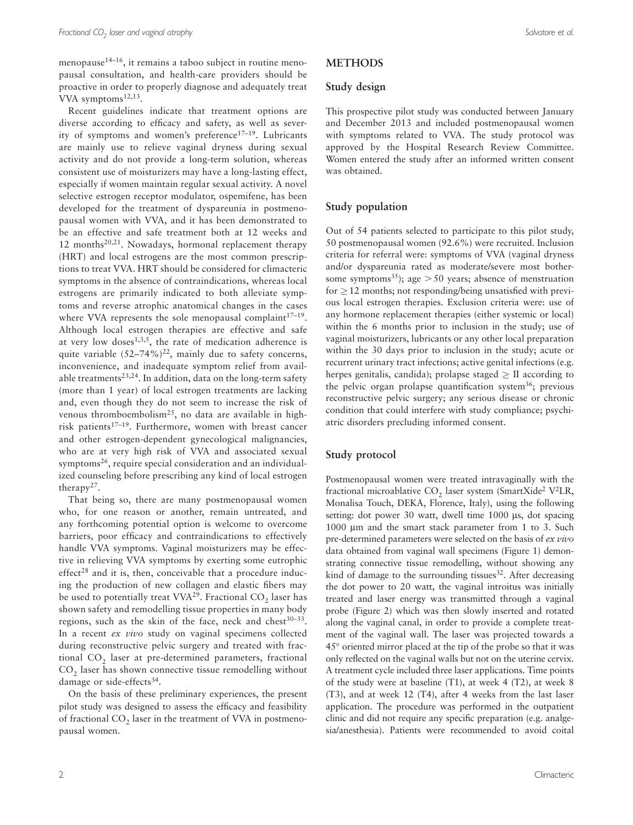menopause $14-16$ , it remains a taboo subject in routine menopausal consultation, and health-care providers should be proactive in order to properly diagnose and adequately treat VVA symptoms $12,13$ .

Recent guidelines indicate that treatment options are diverse according to efficacy and safety, as well as severity of symptoms and women's preference<sup>17-19</sup>. Lubricants are mainly use to relieve vaginal dryness during sexual activity and do not provide a long-term solution, whereas consistent use of moisturizers may have a long-lasting effect, especially if women maintain regular sexual activity. A novel selective estrogen receptor modulator, ospemifene, has been developed for the treatment of dyspareunia in postmenopausal women with VVA, and it has been demonstrated to be an effective and safe treatment both at 12 weeks and 12 months<sup>20,21</sup>. Nowadays, hormonal replacement therapy (HRT) and local estrogens are the most common prescriptions to treat VVA. HRT should be considered for climacteric symptoms in the absence of contraindications, whereas local estrogens are primarily indicated to both alleviate symptoms and reverse atrophic anatomical changes in the cases where VVA represents the sole menopausal complaint<sup>17-19</sup>. Although local estrogen therapies are effective and safe at very low doses<sup>1,3,5</sup>, the rate of medication adherence is quite variable  $(52-74\%)^{22}$ , mainly due to safety concerns, inconvenience, and inadequate symptom relief from available treatments<sup>23,24</sup>. In addition, data on the long-term safety (more than 1 year) of local estrogen treatments are lacking and, even though they do not seem to increase the risk of venous thromboembolism<sup>25</sup>, no data are available in highrisk patients<sup>17-19</sup>. Furthermore, women with breast cancer and other estrogen-dependent gynecological malignancies, who are at very high risk of VVA and associated sexual symptoms<sup>26</sup>, require special consideration and an individualized counseling before prescribing any kind of local estrogen therapy<sup>27</sup>.

That being so, there are many postmenopausal women who, for one reason or another, remain untreated, and any forthcoming potential option is welcome to overcome barriers, poor efficacy and contraindications to effectively handle VVA symptoms. Vaginal moisturizers may be effective in relieving VVA symptoms by exerting some eutrophic  $effect^{28}$  and it is, then, conceivable that a procedure inducing the production of new collagen and elastic fibers may be used to potentially treat  $VVA^{29}$ . Fractional CO<sub>2</sub> laser has shown safety and remodelling tissue properties in many body regions, such as the skin of the face, neck and chest $30-33$ . In a recent *ex vivo* study on vaginal specimens collected during reconstructive pelvic surgery and treated with fractional  $CO<sub>2</sub>$  laser at pre-determined parameters, fractional CO<sub>2</sub> laser has shown connective tissue remodelling without damage or side-effects<sup>34</sup>.

On the basis of these preliminary experiences, the present pilot study was designed to assess the efficacy and feasibility of fractional CO<sub>2</sub> laser in the treatment of VVA in postmenopausal women.

# **METHODS**

#### **Study design**

This prospective pilot study was conducted between January and December 2013 and included postmenopausal women with symptoms related to VVA. The study protocol was approved by the Hospital Research Review Committee. Women entered the study after an informed written consent was obtained.

#### **Study population**

Out of 54 patients selected to participate to this pilot study, 50 postmenopausal women (92.6%) were recruited. Inclusion criteria for referral were: symptoms of VVA (vaginal dryness and/or dyspareunia rated as moderate/severe most bothersome symptoms<sup>35</sup>); age  $> 50$  years; absence of menstruation for  $\geq$  12 months; not responding/being unsatisfied with previous local estrogen therapies. Exclusion criteria were: use of any hormone replacement therapies (either systemic or local) within the 6 months prior to inclusion in the study; use of vaginal moisturizers, lubricants or any other local preparation within the 30 days prior to inclusion in the study; acute or recurrent urinary tract infections; active genital infections (e.g. herpes genitalis, candida); prolapse staged  $\geq$  II according to the pelvic organ prolapse quantification system<sup>36</sup>; previous reconstructive pelvic surgery; any serious disease or chronic condition that could interfere with study compliance; psychiatric disorders precluding informed consent.

#### **Study protocol**

Postmenopausal women were treated intravaginally with the fractional microablative  $CO<sub>2</sub>$  laser system (SmartXide<sup>2</sup> V<sup>2</sup>LR, Monalisa Touch, DEKA, Florence, Italy), using the following setting: dot power 30 watt, dwell time 1000 μs, dot spacing 1000 μm and the smart stack parameter from 1 to 3. Such pre-determined parameters were selected on the basis of *ex vivo* data obtained from vaginal wall specimens (Figure 1) demonstrating connective tissue remodelling, without showing any kind of damage to the surrounding tissues  $32$ . After decreasing the dot power to 20 watt, the vaginal introitus was initially treated and laser energy was transmitted through a vaginal probe (Figure 2) which was then slowly inserted and rotated along the vaginal canal, in order to provide a complete treatment of the vaginal wall. The laser was projected towards a 45 ° oriented mirror placed at the tip of the probe so that it was only reflected on the vaginal walls but not on the uterine cervix. A treatment cycle included three laser applications. Time points of the study were at baseline (T1), at week 4 (T2), at week 8 (T3), and at week 12 (T4), after 4 weeks from the last laser application. The procedure was performed in the outpatient clinic and did not require any specific preparation (e.g. analgesia/anesthesia). Patients were recommended to avoid coital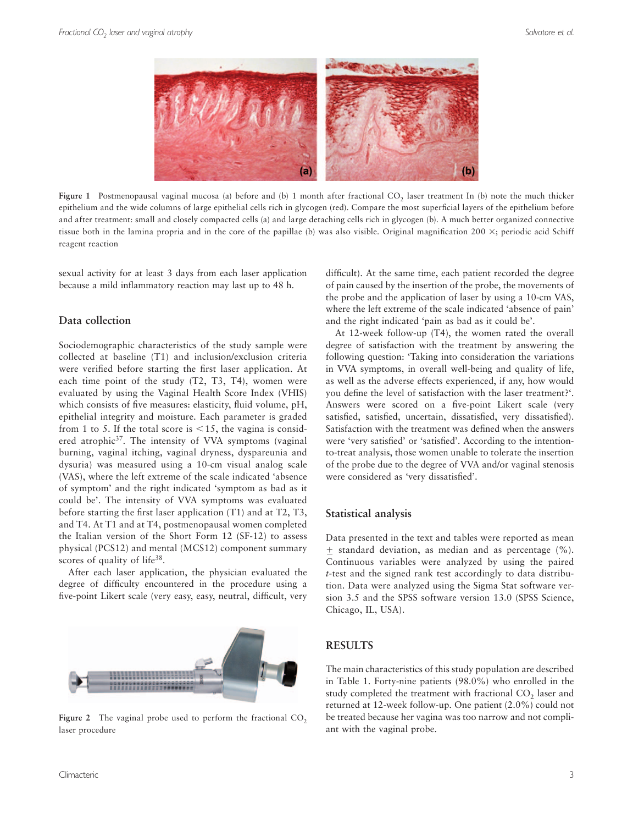

Figure 1 Postmenopausal vaginal mucosa (a) before and (b) 1 month after fractional CO<sub>2</sub> laser treatment In (b) note the much thicker epithelium and the wide columns of large epithelial cells rich in glycogen (red). Compare the most superficial layers of the epithelium before and after treatment: small and closely compacted cells (a) and large detaching cells rich in glycogen (b). A much better organized connective tissue both in the lamina propria and in the core of the papillae (b) was also visible. Original magnification  $200 \times$ ; periodic acid Schiff reagent reaction

sexual activity for at least 3 days from each laser application because a mild inflammatory reaction may last up to 48 h.

# **Data collection**

Sociodemographic characteristics of the study sample were collected at baseline (T1) and inclusion/exclusion criteria were verified before starting the first laser application. At each time point of the study (T2, T3, T4), women were evaluated by using the Vaginal Health Score Index (VHIS) which consists of five measures: elasticity, fluid volume, pH, epithelial integrity and moisture. Each parameter is graded from 1 to 5. If the total score is  $\leq 15$ , the vagina is considered atrophic<sup>37</sup>. The intensity of VVA symptoms (vaginal burning, vaginal itching, vaginal dryness, dyspareunia and dysuria) was measured using a 10-cm visual analog scale (VAS), where the left extreme of the scale indicated 'absence of symptom' and the right indicated 'symptom as bad as it could be'. The intensity of VVA symptoms was evaluated before starting the first laser application  $(T1)$  and at  $T2, T3$ , and T4. At T1 and at T4, postmenopausal women completed the Italian version of the Short Form 12 (SF-12) to assess physical (PCS12) and mental (MCS12) component summary scores of quality of life<sup>38</sup>.

After each laser application, the physician evaluated the degree of difficulty encountered in the procedure using a five-point Likert scale (very easy, easy, neutral, difficult, very



Figure 2 The vaginal probe used to perform the fractional CO<sub>2</sub> laser procedure

difficult). At the same time, each patient recorded the degree of pain caused by the insertion of the probe, the movements of the probe and the application of laser by using a 10-cm VAS, where the left extreme of the scale indicated 'absence of pain' and the right indicated 'pain as bad as it could be'.

At 12-week follow-up (T4), the women rated the overall degree of satisfaction with the treatment by answering the following question: 'Taking into consideration the variations in VVA symptoms, in overall well-being and quality of life, as well as the adverse effects experienced, if any, how would you define the level of satisfaction with the laser treatment?'. Answers were scored on a five-point Likert scale (very satisfied, satisfied, uncertain, dissatisfied, very dissatisfied). Satisfaction with the treatment was defined when the answers were 'very satisfied' or 'satisfied'. According to the intentionto-treat analysis, those women unable to tolerate the insertion of the probe due to the degree of VVA and/or vaginal stenosis were considered as 'very dissatisfied'.

#### **Statistical analysis**

Data presented in the text and tables were reported as mean  $\pm$  standard deviation, as median and as percentage (%). Continuous variables were analyzed by using the paired *t*-test and the signed rank test accordingly to data distribution. Data were analyzed using the Sigma Stat software version 3.5 and the SPSS software version 13.0 (SPSS Science, Chicago, IL, USA).

# **RESULTS**

The main characteristics of this study population are described in Table 1. Forty-nine patients (98.0%) who enrolled in the study completed the treatment with fractional CO<sub>2</sub> laser and returned at 12-week follow-up. One patient (2.0%) could not be treated because her vagina was too narrow and not compliant with the vaginal probe.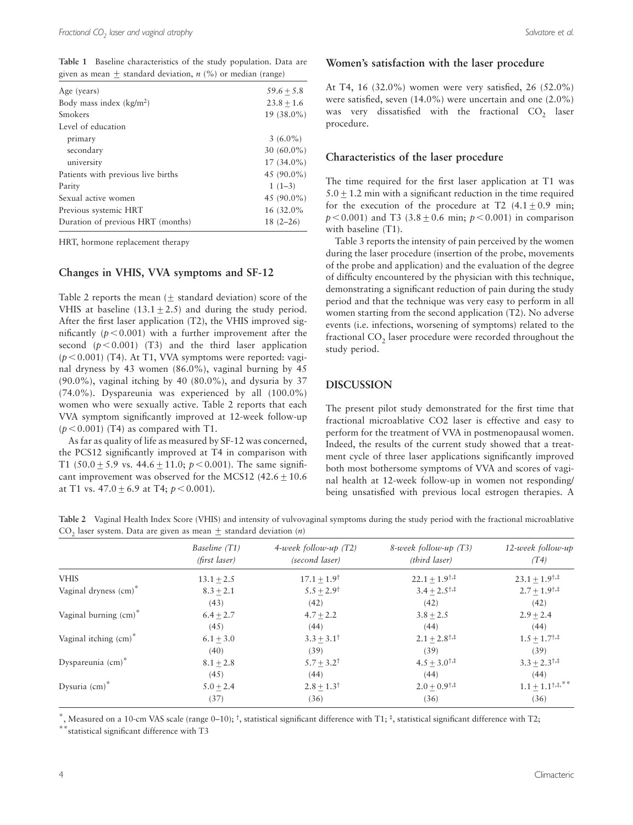**Table 1** Baseline characteristics of the study population. Data are given as mean  $\pm$  standard deviation, *n* (%) or median (range)

| Age (years)                        | $59.6 + 5.8$  |
|------------------------------------|---------------|
| Body mass index $(kg/m2)$          | $23.8 + 1.6$  |
| Smokers                            | $19(38.0\%)$  |
| Level of education                 |               |
| primary                            | $3(6.0\%)$    |
| secondary                          | $30(60.0\%)$  |
| university                         | $17(34.0\%)$  |
| Patients with previous live births | 45 $(90.0\%)$ |
| Parity                             | $1(1-3)$      |
| Sexual active women                | 45 (90.0%)    |
| Previous systemic HRT              | 16 (32.0%)    |
| Duration of previous HRT (months)  | $18(2 - 26)$  |
|                                    |               |

HRT, hormone replacement therapy

#### **Changes in VHIS, VVA symptoms and SF-12**

Table 2 reports the mean  $(\pm$  standard deviation) score of the VHIS at baseline  $(13.1 \pm 2.5)$  and during the study period. After the first laser application  $(T2)$ , the VHIS improved significantly  $(p < 0.001)$  with a further improvement after the second  $(p < 0.001)$  (T3) and the third laser application  $(p<0.001)$  (T4). At T1, VVA symptoms were reported: vaginal dryness by 43 women (86.0%), vaginal burning by 45 (90.0%), vaginal itching by 40 (80.0%), and dysuria by 37 (74.0%). Dyspareunia was experienced by all (100.0%) women who were sexually active. Table 2 reports that each VVA symptom significantly improved at 12-week follow-up  $(p<0.001)$  (T4) as compared with T1.

As far as quality of life as measured by SF-12 was concerned, the PCS12 significantly improved at T4 in comparison with T1 (50.0  $\pm$  5.9 vs. 44.6  $\pm$  11.0;  $p < 0.001$ ). The same significant improvement was observed for the MCS12  $(42.6 \pm 10.6)$ at T1 vs.  $47.0 \pm 6.9$  at T4;  $p < 0.001$ ).

#### **Women's satisfaction with the laser procedure**

At T4, 16 (32.0%) women were very satisfied, 26 (52.0%) were satisfied, seven  $(14.0\%)$  were uncertain and one  $(2.0\%)$ was very dissatisfied with the fractional  $CO<sub>2</sub>$  laser procedure.

### **Characteristics of the laser procedure**

The time required for the first laser application at T1 was  $5.0 \pm 1.2$  min with a significant reduction in the time required for the execution of the procedure at  $T2$  (4.1  $\pm$  0.9 min;  $p < 0.001$ ) and T3 (3.8  $\pm$  0.6 min;  $p < 0.001$ ) in comparison with baseline (T1).

Table 3 reports the intensity of pain perceived by the women during the laser procedure (insertion of the probe, movements of the probe and application) and the evaluation of the degree of difficulty encountered by the physician with this technique, demonstrating a significant reduction of pain during the study period and that the technique was very easy to perform in all women starting from the second application (T2). No adverse events (i.e. infections, worsening of symptoms) related to the fractional CO<sub>2</sub> laser procedure were recorded throughout the study period.

# **DISCUSSION**

The present pilot study demonstrated for the first time that fractional microablative CO2 laser is effective and easy to perform for the treatment of VVA in postmenopausal women. Indeed, the results of the current study showed that a treatment cycle of three laser applications significantly improved both most bothersome symptoms of VVA and scores of vaginal health at 12-week follow-up in women not responding/ being unsatisfied with previous local estrogen therapies. A

**Table 2** Vaginal Health Index Score (VHIS) and intensity of vulvovaginal symptoms during the study period with the fractional microablative  $CO_2$  laser system. Data are given as mean  $\pm$  standard deviation (*n*)

|                                   | Baseline (T1)<br>(first laser) | $4$ -week follow-up (T2)<br>(second laser) | $8$ -week follow-up (T3)<br>(third laser)       | $12$ -week follow-up<br>(T4)             |
|-----------------------------------|--------------------------------|--------------------------------------------|-------------------------------------------------|------------------------------------------|
| <b>VHIS</b>                       | $13.1 + 2.5$                   | $17.1 \pm 1.9^{\dagger}$                   | $22.1 \pm 1.9^{\dagger,\ddagger}$               | $23.1 \pm 1.9^{\dagger,\ddagger}$        |
| Vaginal dryness (cm) <sup>*</sup> | $8.3 \pm 2.1$                  | $5.5 \pm 2.9^{\dagger}$                    | $3.4 \pm 2.5^{\dagger,\ddagger}$                | $2.7 \pm 1.9^{\dagger,\ddagger}$         |
|                                   | (43)                           | (42)                                       | (42)                                            | (42)                                     |
| Vaginal burning (cm) <sup>*</sup> | $6.4 \pm 2.7$                  | $4.7 \pm 2.2$                              | $3.8 + 2.5$                                     | $2.9 \pm 2.4$                            |
|                                   | (45)                           | (44)                                       | (44)                                            | (44)                                     |
| Vaginal itching (cm) <sup>*</sup> | $6.1 \pm 3.0$                  | $3.3 \pm 3.1^{\dagger}$                    | $2.1 \pm 2.8$ <sup>†,‡</sup>                    | $1.5 \pm 1.7^{\dagger,\ddagger}$         |
|                                   | (40)                           | (39)                                       | (39)                                            | (39)                                     |
| Dyspareunia (cm)*                 | $8.1 \pm 2.8$                  | $5.7 \pm 3.2^{\dagger}$                    | $4.5 + 3.0^{+,}$                                | $3.3 \pm 2.3^{\dagger,\ddagger}$         |
|                                   | (45)                           | (44)                                       | (44)                                            | (44)                                     |
| Dysuria $\text{(cm)}^*$           | $5.0 + 2.4$                    | $2.8 \pm 1.3^{\dagger}$                    | $2.0 \pm 0.9$ <sup><math>\dagger</math>,‡</sup> | $1.1 \pm 1.1^{\dagger,\ddagger,\ast\,*}$ |
|                                   | (37)                           | (36)                                       | (36)                                            | (36)                                     |

\*, Measured on a 10-cm VAS scale (range 0-10);  $\dagger$ , statistical significant difference with T1;  $\dagger$ , statistical significant difference with T2;

statistical significant difference with T3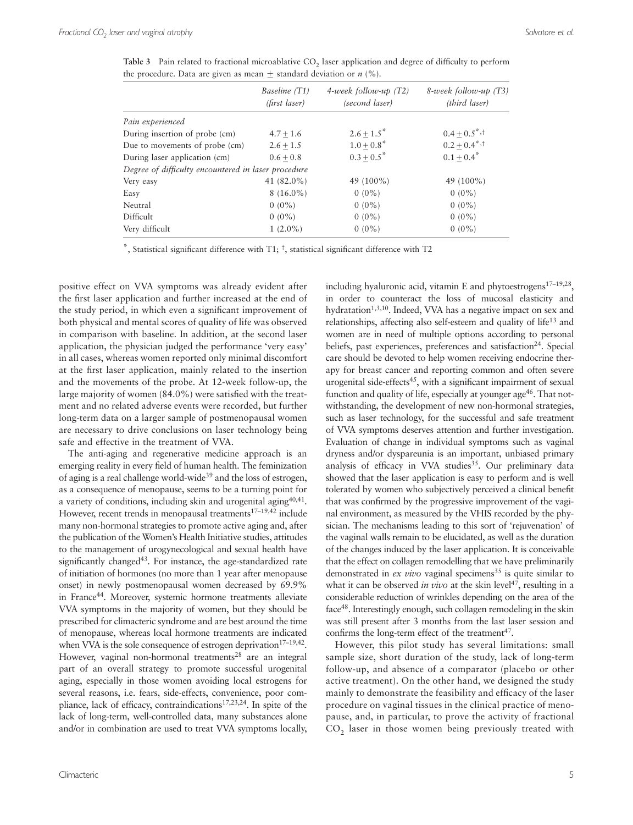Table 3 Pain related to fractional microablative CO<sub>2</sub> laser application and degree of difficulty to perform the procedure. Data are given as mean  $\pm$  standard deviation or *n* (%).

|                                                     | Baseline (T1)<br>(first laser) | $4$ -week follow-up (T2)<br>(second laser) | $8$ -week follow-up $(T3)$<br>(third laser) |
|-----------------------------------------------------|--------------------------------|--------------------------------------------|---------------------------------------------|
| Pain experienced                                    |                                |                                            |                                             |
| During insertion of probe (cm)                      | $4.7 + 1.6$                    | $2.6 \pm 1.5^*$                            | $0.4 \pm 0.5$ <sup>*</sup> , <sup>†</sup>   |
| Due to movements of probe (cm)                      | $2.6 + 1.5$                    | $1.0 \pm 0.8$ *                            | $0.2 + 0.4$ <sup>*,†</sup>                  |
| During laser application (cm)                       | $0.6 + 0.8$                    | $0.3 + 0.5^*$                              | $0.1 + 0.4^*$                               |
| Degree of difficulty encountered in laser procedure |                                |                                            |                                             |
| Very easy                                           | 41 $(82.0\%)$                  | 49 (100%)                                  | 49 (100%)                                   |
| Easy                                                | $8(16.0\%)$                    | $0(0\%)$                                   | $0(0\%)$                                    |
| Neutral                                             | $0(0\%)$                       | $0(0\%)$                                   | $0(0\%)$                                    |
| Difficult                                           | $0(0\%)$                       | $0(0\%)$                                   | $0(0\%)$                                    |
| Very difficult                                      | $1(2.0\%)$                     | $0(0\%)$                                   | $0(0\%)$                                    |

 $^{\dagger}$ , Statistical significant difference with T1;  $^{\dagger}$ , statistical significant difference with T2

positive effect on VVA symptoms was already evident after the first laser application and further increased at the end of the study period, in which even a significant improvement of both physical and mental scores of quality of life was observed in comparison with baseline. In addition, at the second laser application, the physician judged the performance 'very easy' in all cases, whereas women reported only minimal discomfort at the first laser application, mainly related to the insertion and the movements of the probe. At 12-week follow-up, the large majority of women  $(84.0\%)$  were satisfied with the treatment and no related adverse events were recorded, but further long-term data on a larger sample of postmenopausal women are necessary to drive conclusions on laser technology being safe and effective in the treatment of VVA.

The anti-aging and regenerative medicine approach is an emerging reality in every field of human health. The feminization of aging is a real challenge world-wide<sup>39</sup> and the loss of estrogen, as a consequence of menopause, seems to be a turning point for a variety of conditions, including skin and urogenital aging<sup>40,41</sup>. However, recent trends in menopausal treatments<sup>17-19,42</sup> include many non-hormonal strategies to promote active aging and, after the publication of the Women's Health Initiative studies, attitudes to the management of urogynecological and sexual health have significantly changed<sup>43</sup>. For instance, the age-standardized rate of initiation of hormones (no more than 1 year after menopause onset) in newly postmenopausal women decreased by 69.9% in France<sup>44</sup>. Moreover, systemic hormone treatments alleviate VVA symptoms in the majority of women, but they should be prescribed for climacteric syndrome and are best around the time of menopause, whereas local hormone treatments are indicated when VVA is the sole consequence of estrogen deprivation<sup>17-19,42</sup>. However, vaginal non-hormonal treatments<sup>28</sup> are an integral part of an overall strategy to promote successful urogenital aging, especially in those women avoiding local estrogens for several reasons, i.e. fears, side-effects, convenience, poor compliance, lack of efficacy, contraindications<sup>17,23,24</sup>. In spite of the lack of long-term, well-controlled data, many substances alone and/or in combination are used to treat VVA symptoms locally,

including hyaluronic acid, vitamin E and phytoestrogens $17-19,28$ , in order to counteract the loss of mucosal elasticity and hydratation<sup>1,3,10</sup>. Indeed, VVA has a negative impact on sex and relationships, affecting also self-esteem and quality of life<sup>13</sup> and women are in need of multiple options according to personal beliefs, past experiences, preferences and satisfaction<sup>24</sup>. Special care should be devoted to help women receiving endocrine therapy for breast cancer and reporting common and often severe urogenital side-effects<sup>45</sup>, with a significant impairment of sexual function and quality of life, especially at younger age<sup>46</sup>. That notwithstanding, the development of new non-hormonal strategies, such as laser technology, for the successful and safe treatment of VVA symptoms deserves attention and further investigation. Evaluation of change in individual symptoms such as vaginal dryness and/or dyspareunia is an important, unbiased primary analysis of efficacy in VVA studies<sup>35</sup>. Our preliminary data showed that the laser application is easy to perform and is well tolerated by women who subjectively perceived a clinical benefit that was confirmed by the progressive improvement of the vaginal environment, as measured by the VHIS recorded by the physician. The mechanisms leading to this sort of 'rejuvenation' of the vaginal walls remain to be elucidated, as well as the duration of the changes induced by the laser application. It is conceivable that the effect on collagen remodelling that we have preliminarily demonstrated in *ex vivo* vaginal specimens<sup>35</sup> is quite similar to what it can be observed *in vivo* at the skin level<sup>47</sup>, resulting in a considerable reduction of wrinkles depending on the area of the face 48. Interestingly enough, such collagen remodeling in the skin was still present after 3 months from the last laser session and confirms the long-term effect of the treatment<sup>47</sup>. However, this pilot study has several limitations: small

sample size, short duration of the study, lack of long-term follow-up, and absence of a comparator (placebo or other active treatment). On the other hand, we designed the study mainly to demonstrate the feasibility and efficacy of the laser procedure on vaginal tissues in the clinical practice of menopause, and, in particular, to prove the activity of fractional CO<sub>2</sub> laser in those women being previously treated with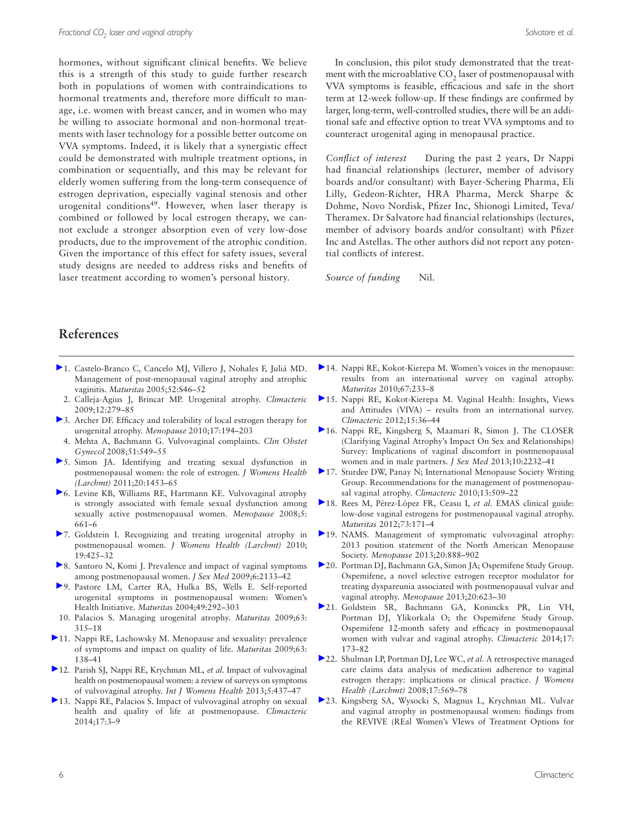hormones, without significant clinical benefits. We believe this is a strength of this study to guide further research both in populations of women with contraindications to hormonal treatments and, therefore more difficult to manage, i.e. women with breast cancer, and in women who may be willing to associate hormonal and non-hormonal treatments with laser technology for a possible better outcome on VVA symptoms. Indeed, it is likely that a synergistic effect could be demonstrated with multiple treatment options, in combination or sequentially, and this may be relevant for elderly women suffering from the long-term consequence of estrogen deprivation, especially vaginal stenosis and other urogenital conditions<sup>49</sup>. However, when laser therapy is combined or followed by local estrogen therapy, we cannot exclude a stronger absorption even of very low-dose products, due to the improvement of the atrophic condition. Given the importance of this effect for safety issues, several study designs are needed to address risks and benefits of laser treatment according to women's personal history.

In conclusion, this pilot study demonstrated that the treatment with the microablative CO<sub>2</sub> laser of postmenopausal with VVA symptoms is feasible, efficacious and safe in the short term at 12-week follow-up. If these findings are confirmed by larger, long-term, well-controlled studies, there will be an additional safe and effective option to treat VVA symptoms and to counteract urogenital aging in menopausal practice.

*Conflict of interest* During the past 2 years, Dr Nappi had financial relationships (lecturer, member of advisory boards and/or consultant) with Bayer-Schering Pharma, Eli Lilly, Gedeon-Richter, HRA Pharma, Merck Sharpe & Dohme, Novo Nordisk, Pfizer Inc, Shionogi Limited, Teva/ Theramex. Dr Salvatore had financial relationships (lectures, member of advisory boards and/or consultant) with Pfizer Inc and Astellas. The other authors did not report any potential conflicts of interest.

*Source of funding* Nil.

# **References**

- 1. Castelo-Branco C, Cancelo MJ, Villero J, Nohales F, Juliá MD. Management of post-menopausal vaginal atrophy and atrophic vaginitis. *Maturitas* 2005;52:S46-52
- 2. Calleja-Agius J, Brincat MP. Urogenital atrophy. Climacteric 2009;12:279-85
- $\triangleright$  3. Archer DF. Efficacy and tolerability of local estrogen therapy for urogenital atrophy. *Menopause* 2010;17:194-203
- 4. Mehta A, Bachmann G. Vulvovaginal complaints. *Clin Obstet* Gynecol 2008;51:549-55
- 5. Simon JA . Identifying and treating sexual dysfunction in postmenopausal women: the role of estrogen . *J Womens Health (Larchmt)* 2011;20:1453-65
- <sup>6</sup>. Levine KB, Williams RE, Hartmann KE. Vulvovaginal atrophy is strongly associated with female sexual dysfunction among sexually active postmenopausal women. *Menopause* 2008;5:  $661 - 6$
- ▶7. Goldstein I. Recognizing and treating urogenital atrophy in postmenopausal women. *J Womens Health (Larchmt)* 2010; 19:425-32
- 8. Santoro N, Komi J. Prevalence and impact of vaginal symptoms among postmenopausal women. *J Sex Med* 2009;6:2133-42
- >9. Pastore LM, Carter RA, Hulka BS, Wells E. Self-reported urogenital symptoms in postmenopausal women: Women's Health Initiative. *Maturitas* 2004;49:292-303
- 10. Palacios S. Managing urogenital atrophy. Maturitas 2009;63: 315 – 18
- [1](http://informahealthcare.com/action/showLinks?crossref=10.1016%2Fj.maturitas.2009.03.021&isi=000268006300009)1. Nappi RE, Lachowsky M. Menopause and sexuality: prevalence of symptoms and impact on quality of life. *Maturitas* 2009;63: 138 – 41
- [1](http://informahealthcare.com/action/showLinks?crossref=10.2147%2FIJWH.S44579)2. Parish SJ, Nappi RE, Krychman ML, et al. Impact of vulvovaginal health on postmenopausal women: a review of surveys on symptoms of vulvovaginal atrophy. *Int J Womens Health* 2013;5:437-47
- [1](http://informahealthcare.com/action/showLinks?system=10.3109%2F13697137.2013.871696&isi=000329847900002)3. Nappi RE, Palacios S. Impact of vulvovaginal atrophy on sexual health and quality of life at postmenopause. Climacteric 2014;17:3-9
- $\blacktriangleright$  [1](http://informahealthcare.com/action/showLinks?crossref=10.1016%2Fj.maturitas.2010.08.001&isi=000284346600009)4. Nappi RE, Kokot-Kierepa M. Women's voices in the menopause: results from an international survey on vaginal atrophy. *Maturitas* 2010:67:233-8
- <sup>[1](http://informahealthcare.com/action/showLinks?system=10.3109%2F13697137.2011.647840&isi=000298927600007)5</sup>. Nappi RE, Kokot-Kierepa M. Vaginal Health: Insights, Views and Attitudes (VIVA) – results from an international survey. *Climacteric* 2012 ; 15 : 36 – 44
- [1](http://informahealthcare.com/action/showLinks?crossref=10.1111%2Fjsm.12235)6. Nappi RE, Kingsberg S, Maamari R, Simon J. The CLOSER (Clarifying Vaginal Atrophy's Impact On Sex and Relationships) Survey: Implications of vaginal discomfort in postmenopausal women and in male partners. *J Sex Med* 2013;10:2232-41
- ▶ [1](http://informahealthcare.com/action/showLinks?system=10.3109%2F13697137.2010.522875&isi=000284217700002)7. Sturdee DW, Panay N; International Menopause Society Writing Group. Recommendations for the management of postmenopausal vaginal atrophy. *Climacteric* 2010;13:509-22
- [1](http://informahealthcare.com/action/showLinks?crossref=10.1016%2Fj.maturitas.2012.06.009&isi=000310824900016)8. Rees M, Pérez-López FR, Ceasu I, et al. EMAS clinical guide: low-dose vaginal estrogens for postmenopausal vaginal atrophy . *Maturitas* 2012 ; 73 : 171 – 4
- [1](http://informahealthcare.com/action/showLinks?crossref=10.1097%2FGME.0b013e3182a122c2&isi=000330463400004)9. NAMS. Management of symptomatic vulvovaginal atrophy: 2013 position statement of the North American Menopause Society. Menopause 2013;20:888-902
- [2](http://informahealthcare.com/action/showLinks?isi=000319659300007)0. Portman DJ, Bachmann GA, Simon JA; Ospemifene Study Group. Ospemifene, a novel selective estrogen receptor modulator for treating dyspareunia associated with postmenopausal vulvar and vaginal atrophy. *Menopause* 2013;20:623-30
- [2](http://informahealthcare.com/action/showLinks?system=10.3109%2F13697137.2013.834493&isi=000333036600009)1. Goldstein SR, Bachmann GA, Koninckx PR, Lin VH, Portman DJ, Ylikorkala O; the Ospemifene Study Group. Ospemifene 12-month safety and efficacy in postmenopausal women with vulvar and vaginal atrophy. *Climacteric* 2014;17: 173 – 82
- ▶ [2](http://informahealthcare.com/action/showLinks?crossref=10.1089%2Fjwh.2007.0407&isi=000256308700009)2. Shulman LP, Portman DJ, Lee WC, et al. A retrospective managed care claims data analysis of medication adherence to vaginal estrogen therapy: implications or clinical practice . *J Womens Health (Larchmt)* 2008 ; 17 : 569 – 78
- >[2](http://informahealthcare.com/action/showLinks?crossref=10.1111%2Fjsm.12190)3. Kingsberg SA, Wysocki S, Magnus L, Krychman ML. Vulvar and vaginal atrophy in postmenopausal women: findings from the REVIVE (REal Women's VIews of Treatment Options for